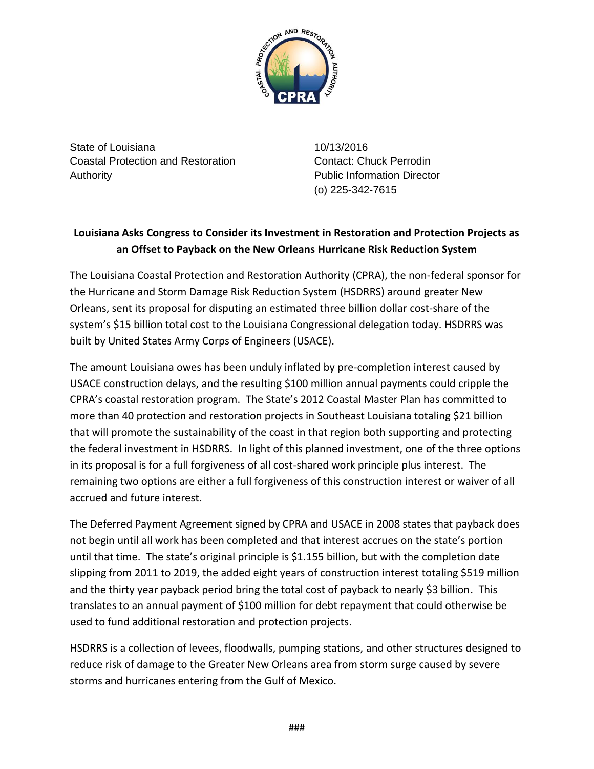

State of Louisiana Coastal Protection and Restoration Authority

10/13/2016 Contact: Chuck Perrodin Public Information Director (o) 225-342-7615

## **Louisiana Asks Congress to Consider its Investment in Restoration and Protection Projects as an Offset to Payback on the New Orleans Hurricane Risk Reduction System**

The Louisiana Coastal Protection and Restoration Authority (CPRA), the non-federal sponsor for the Hurricane and Storm Damage Risk Reduction System (HSDRRS) around greater New Orleans, sent its proposal for disputing an estimated three billion dollar cost-share of the system's \$15 billion total cost to the Louisiana Congressional delegation today. HSDRRS was built by United States Army Corps of Engineers (USACE).

The amount Louisiana owes has been unduly inflated by pre-completion interest caused by USACE construction delays, and the resulting \$100 million annual payments could cripple the CPRA's coastal restoration program. The State's 2012 Coastal Master Plan has committed to more than 40 protection and restoration projects in Southeast Louisiana totaling \$21 billion that will promote the sustainability of the coast in that region both supporting and protecting the federal investment in HSDRRS. In light of this planned investment, one of the three options in its proposal is for a full forgiveness of all cost-shared work principle plus interest. The remaining two options are either a full forgiveness of this construction interest or waiver of all accrued and future interest.

The Deferred Payment Agreement signed by CPRA and USACE in 2008 states that payback does not begin until all work has been completed and that interest accrues on the state's portion until that time. The state's original principle is \$1.155 billion, but with the completion date slipping from 2011 to 2019, the added eight years of construction interest totaling \$519 million and the thirty year payback period bring the total cost of payback to nearly \$3 billion. This translates to an annual payment of \$100 million for debt repayment that could otherwise be used to fund additional restoration and protection projects.

HSDRRS is a collection of levees, floodwalls, pumping stations, and other structures designed to reduce risk of damage to the Greater New Orleans area from storm surge caused by severe storms and hurricanes entering from the Gulf of Mexico.